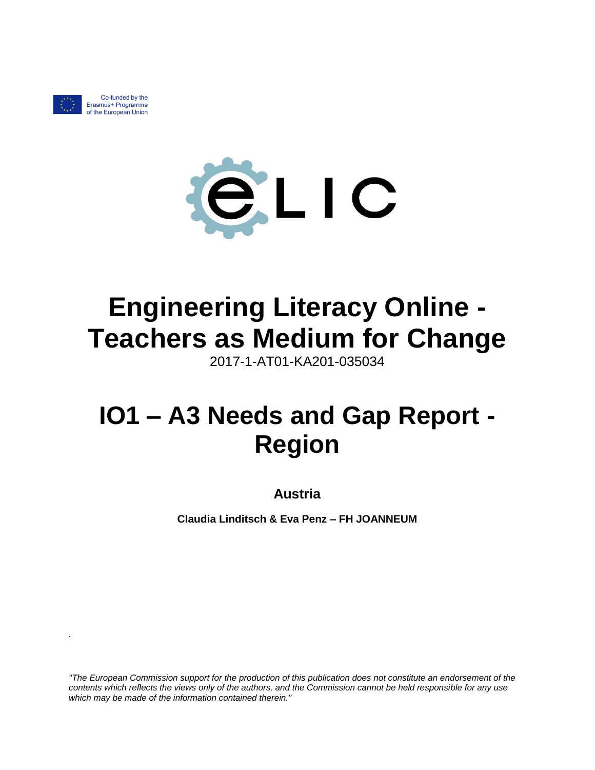

*.*

Co-funded by the Erasmus+ Programme of the European Union



# **Engineering Literacy Online - Teachers as Medium for Change**

2017-1-AT01-KA201-035034

# **IO1 – A3 Needs and Gap Report - Region**

**Austria**

**Claudia Linditsch & Eva Penz – FH JOANNEUM**

*"The European Commission support for the production of this publication does not constitute an endorsement of the contents which reflects the views only of the authors, and the Commission cannot be held responsible for any use which may be made of the information contained therein."*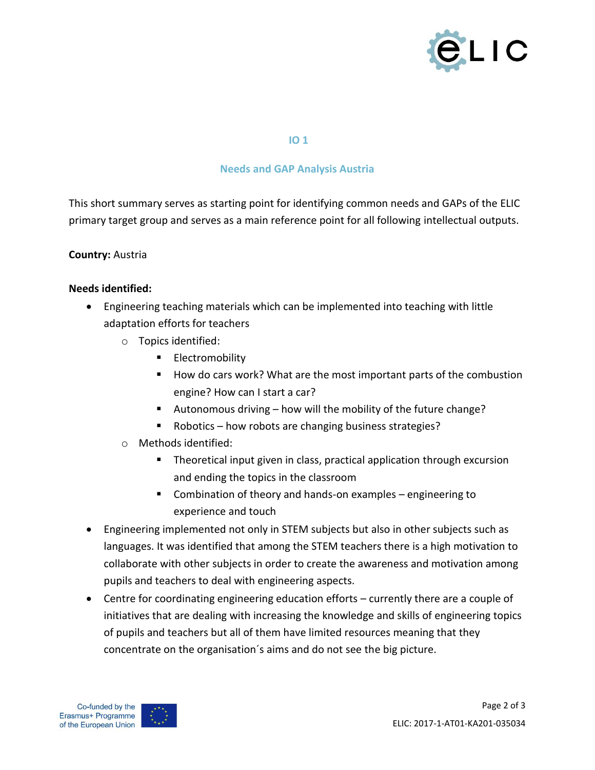

#### **IO 1**

## **Needs and GAP Analysis Austria**

This short summary serves as starting point for identifying common needs and GAPs of the ELIC primary target group and serves as a main reference point for all following intellectual outputs.

### **Country:** Austria

#### **Needs identified:**

- Engineering teaching materials which can be implemented into teaching with little adaptation efforts for teachers
	- o Topics identified:
		- **Electromobility**
		- How do cars work? What are the most important parts of the combustion engine? How can I start a car?
		- Autonomous driving how will the mobility of the future change?
		- Robotics how robots are changing business strategies?
	- o Methods identified:
		- **Theoretical input given in class, practical application through excursion** and ending the topics in the classroom
		- Combination of theory and hands-on examples engineering to experience and touch
- Engineering implemented not only in STEM subjects but also in other subjects such as languages. It was identified that among the STEM teachers there is a high motivation to collaborate with other subjects in order to create the awareness and motivation among pupils and teachers to deal with engineering aspects.
- Centre for coordinating engineering education efforts currently there are a couple of initiatives that are dealing with increasing the knowledge and skills of engineering topics of pupils and teachers but all of them have limited resources meaning that they concentrate on the organisation´s aims and do not see the big picture.